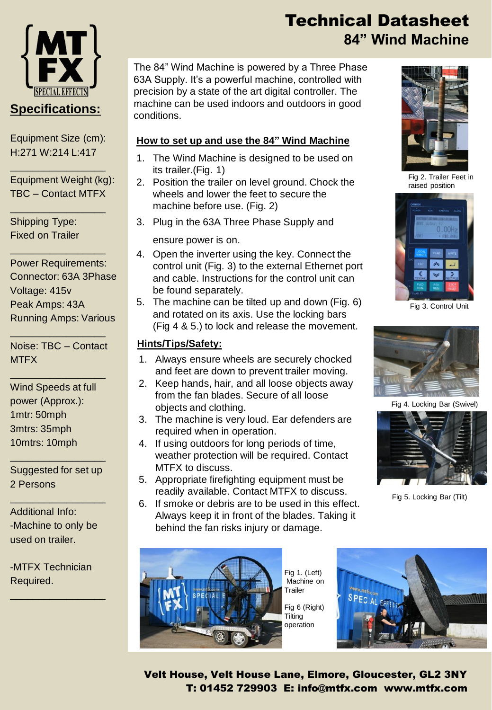

Equipment Size (cm): H:271 W:214 L:417

\_\_\_\_\_\_\_\_\_\_\_\_\_\_\_\_\_

\_\_\_\_\_\_\_\_\_\_\_\_\_\_\_\_\_

\_\_\_\_\_\_\_\_\_\_\_\_\_\_\_\_\_

Equipment Weight (kg): TBC – Contact MTFX

Shipping Type: Fixed on Trailer

Power Requirements: Connector: 63A 3Phase Voltage: 415v Peak Amps: 43A Running Amps: Various

Noise: TBC – Contact **MTFX** 

\_\_\_\_\_\_\_\_\_\_\_\_\_\_\_\_\_

\_\_\_\_\_\_\_\_\_\_\_\_\_\_\_\_\_

Wind Speeds at full power (Approx.): 1mtr: 50mph 3mtrs: 35mph 10mtrs: 10mph

Suggested for set up 2 Persons

\_\_\_\_\_\_\_\_\_\_\_\_\_\_\_\_\_

\_\_\_\_\_\_\_\_\_\_\_\_\_\_\_\_\_

Additional Info: -Machine to only be used on trailer.

-MTFX Technician Required.

\_\_\_\_\_\_\_\_\_\_\_\_\_\_\_\_\_

## Technical Datasheet **84" Wind Machine**

The 84" Wind Machine is powered by a Three Phase 63A Supply. It's a powerful machine, controlled with precision by a state of the art digital controller. The machine can be used indoors and outdoors in good conditions.

## **How to set up and use the 84" Wind Machine**

- 1. The Wind Machine is designed to be used on its trailer.(Fig. 1)
- 2. Position the trailer on level ground. Chock the wheels and lower the feet to secure the machine before use. (Fig. 2)
- 3. Plug in the 63A Three Phase Supply and

ensure power is on.

- 4. Open the inverter using the key. Connect the control unit (Fig. 3) to the external Ethernet port and cable. Instructions for the control unit can be found separately.
- 5. The machine can be tilted up and down (Fig. 6) and rotated on its axis. Use the locking bars (Fig 4 & 5.) to lock and release the movement.

## **Hints/Tips/Safety:**

- 1. Always ensure wheels are securely chocked and feet are down to prevent trailer moving.
- 2. Keep hands, hair, and all loose objects away from the fan blades. Secure of all loose objects and clothing.
- 3. The machine is very loud. Ear defenders are required when in operation.
- 4. If using outdoors for long periods of time, weather protection will be required. Contact MTFX to discuss.
- 5. Appropriate firefighting equipment must be readily available. Contact MTFX to discuss.
- 6. If smoke or debris are to be used in this effect. Always keep it in front of the blades. Taking it behind the fan risks injury or damage.



Fig 1. (Left) Machine on Trailer Fig 6 (Right) Tilting





Fig 2. Trailer Feet in raised position



Fig 3. Control Unit



Fig 4. Locking Bar (Swivel)



Fig 5. Locking Bar (Tilt)

Velt House, Velt House Lane, Elmore, Gloucester, GL2 3NY T: 01452 729903 E: info@mtfx.com www.mtfx.com